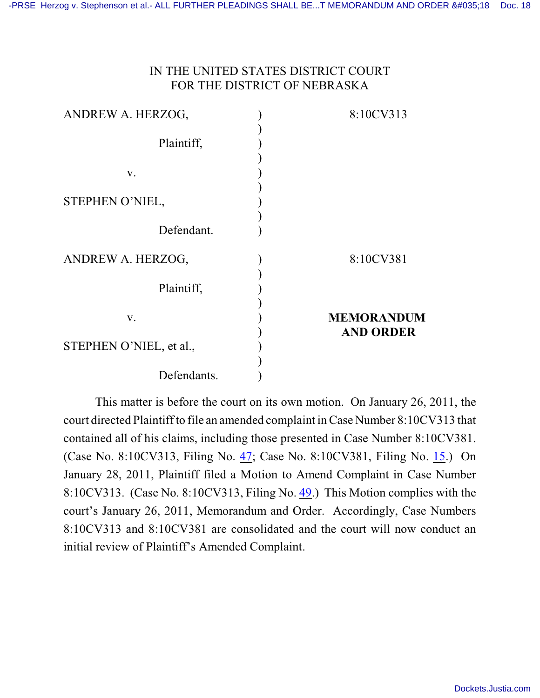# IN THE UNITED STATES DISTRICT COURT FOR THE DISTRICT OF NEBRASKA

| ANDREW A. HERZOG,       | 8:10CV313         |
|-------------------------|-------------------|
|                         |                   |
| Plaintiff,              |                   |
|                         |                   |
| V.                      |                   |
|                         |                   |
| STEPHEN O'NIEL,         |                   |
|                         |                   |
| Defendant.              |                   |
| ANDREW A. HERZOG,       | 8:10CV381         |
| Plaintiff,              |                   |
|                         |                   |
| V.                      | <b>MEMORANDUM</b> |
|                         | <b>AND ORDER</b>  |
| STEPHEN O'NIEL, et al., |                   |
|                         |                   |
| Defendants.             |                   |

This matter is before the court on its own motion. On January 26, 2011, the court directed Plaintiff to file an amended complaint in Case Number 8:10CV313 that contained all of his claims, including those presented in Case Number 8:10CV381. (Case No. 8:10CV313, Filing No. [47](https://ecf.ned.uscourts.gov/doc1/11312193450); Case No. 8:10CV381, Filing No. [15](https://ecf.ned.uscourts.gov/doc1/11312193450).) On January 28, 2011, Plaintiff filed a Motion to Amend Complaint in Case Number 8:10CV313. (Case No. 8:10CV313, Filing No. [49](https://ecf.ned.uscourts.gov/doc1/11312196138).) This Motion complies with the court's January 26, 2011, Memorandum and Order. Accordingly, Case Numbers 8:10CV313 and 8:10CV381 are consolidated and the court will now conduct an initial review of Plaintiff's Amended Complaint.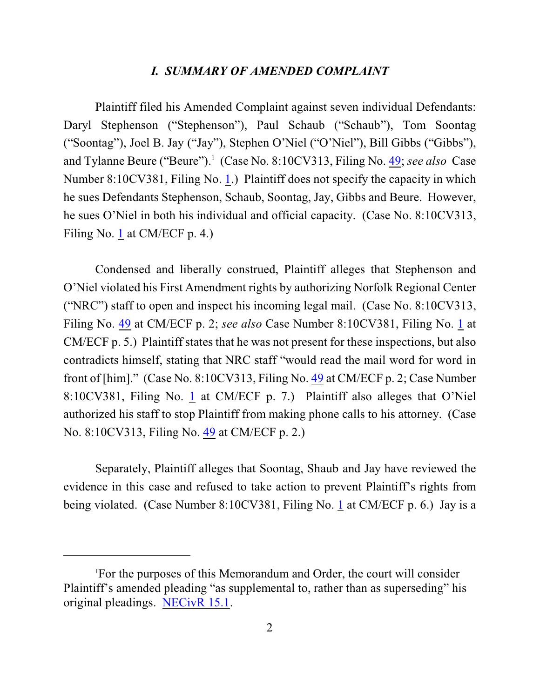#### *I. SUMMARY OF AMENDED COMPLAINT*

Plaintiff filed his Amended Complaint against seven individual Defendants: Daryl Stephenson ("Stephenson"), Paul Schaub ("Schaub"), Tom Soontag ("Soontag"), Joel B. Jay ("Jay"), Stephen O'Niel ("O'Niel"), Bill Gibbs ("Gibbs"), and Tylanne Beure ("Beure").<sup>1</sup> (Case No. 8:10CV313, Filing No. [49](https://ecf.ned.uscourts.gov/doc1/11312196138); see also Case Number 8:10CV381, Filing No. [1](https://ecf.ned.uscourts.gov/doc1/11312119395).) Plaintiff does not specify the capacity in which he sues Defendants Stephenson, Schaub, Soontag, Jay, Gibbs and Beure. However, he sues O'Niel in both his individual and official capacity. (Case No. 8:10CV313, Filing No. [1](https://ecf.ned.uscourts.gov/doc1/11312088126) at CM/ECF p. 4.)

Condensed and liberally construed, Plaintiff alleges that Stephenson and O'Niel violated his First Amendment rights by authorizing Norfolk Regional Center ("NRC") staff to open and inspect his incoming legal mail. (Case No. 8:10CV313, Filing No. [49](https://ecf.ned.uscourts.gov/doc1/11312196138) at CM/ECF p. 2; *see also* Case Number 8:10CV381, Filing No. [1](https://ecf.ned.uscourts.gov/doc1/11312119395) at CM/ECF p. 5.) Plaintiff states that he was not present for these inspections, but also contradicts himself, stating that NRC staff "would read the mail word for word in front of [him]." (Case No. 8:10CV313, Filing No. [49](https://ecf.ned.uscourts.gov/doc1/11312196138) at CM/ECF p. 2; Case Number 8:10CV381, Filing No. [1](https://ecf.ned.uscourts.gov/doc1/11312119395) at CM/ECF p. 7.) Plaintiff also alleges that O'Niel authorized his staff to stop Plaintiff from making phone calls to his attorney. (Case No. 8:10CV313, Filing No. [49](https://ecf.ned.uscourts.gov/doc1/11312196138) at CM/ECF p. 2.)

Separately, Plaintiff alleges that Soontag, Shaub and Jay have reviewed the evidence in this case and refused to take action to prevent Plaintiff's rights from being violated. (Case Number 8:10CV381, Filing No. [1](https://ecf.ned.uscourts.gov/doc1/11312119395) at CM/ECF p. 6.) Jay is a

For the purposes of this Memorandum and Order, the court will consider <sup>1</sup> Plaintiff's amended pleading "as supplemental to, rather than as superseding" his original pleadings. [NECivR 15.1](http://www.ned.uscourts.gov/localrules/NECivR07-1029.pdf).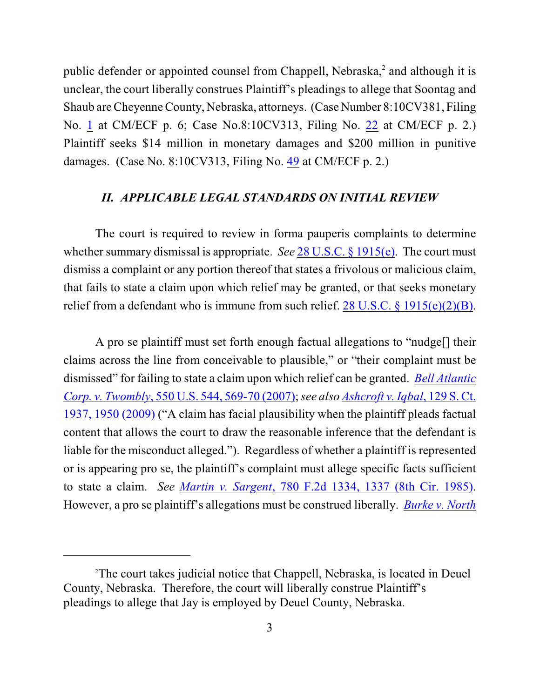public defender or appointed counsel from Chappell, Nebraska,<sup>2</sup> and although it is unclear, the court liberally construes Plaintiff's pleadings to allege that Soontag and Shaub are Cheyenne County, Nebraska, attorneys. (Case Number 8:10CV381, Filing No. [1](https://ecf.ned.uscourts.gov/doc1/11312119395) at CM/ECF p. 6; Case No.8:10CV313, Filing No. [22](https://ecf.ned.uscourts.gov/doc1/11312128776) at CM/ECF p. 2.) Plaintiff seeks \$14 million in monetary damages and \$200 million in punitive damages. (Case No. 8:10CV313, Filing No. [49](https://ecf.ned.uscourts.gov/doc1/11312196138) at CM/ECF p. 2.)

## *II. APPLICABLE LEGAL STANDARDS ON INITIAL REVIEW*

The court is required to review in forma pauperis complaints to determine whether summary dismissal is appropriate. *See* [28 U.S.C. § 1915\(e\)](http://www.westlaw.com/find/default.wl?rs=CLWP3.0&vr=2.0&cite=28+USCA+ss+1915%28e%29). The court must dismiss a complaint or any portion thereof that states a frivolous or malicious claim, that fails to state a claim upon which relief may be granted, or that seeks monetary relief from a defendant who is immune from such relief.  $28 \text{ U.S.C.}$  §  $1915(e)(2)(B)$ .

A pro se plaintiff must set forth enough factual allegations to "nudge[] their claims across the line from conceivable to plausible," or "their complaint must be dismissed" for failing to state a claim upon which relief can be granted. *[Bell Atlantic](http://web2.westlaw.com/find/default.wl?fn=_top&rs=WLW9.08&rp=%2ffind%2fdefault.wl&ifm=NotSet&vr=2.0&sv=Split&cite=550+us+569) Corp. v. Twombly*, [550 U.S. 544, 569-70 \(2007\)](http://web2.westlaw.com/find/default.wl?fn=_top&rs=WLW9.08&rp=%2ffind%2fdefault.wl&ifm=NotSet&vr=2.0&sv=Split&cite=550+us+569);*see also [Ashcroft v. Iqbal](http://web2.westlaw.com/find/default.wl?rs=WLW9.10&ifm=NotSet&fn=_top&sv=Split&cite=129+s+ct+1950&vr=2.0&rp=%2ffind%2fdefault.wl&pbc=074303F9)*, 129 S. Ct. 1937, [1950 \(2009\)](http://web2.westlaw.com/find/default.wl?rs=WLW9.10&ifm=NotSet&fn=_top&sv=Split&cite=129+s+ct+1950&vr=2.0&rp=%2ffind%2fdefault.wl&pbc=074303F9) ("A claim has facial plausibility when the plaintiff pleads factual content that allows the court to draw the reasonable inference that the defendant is liable for the misconduct alleged."). Regardless of whether a plaintiff is represented or is appearing pro se, the plaintiff's complaint must allege specific facts sufficient to state a claim. *See Martin v. Sargent*[, 780 F.2d 1334, 1337 \(8th Cir. 1985\)](http://www.westlaw.com/find/default.wl?rs=CLWP3.0&vr=2.0&cite=780+F.2d+1334). However, a pro se plaintiff's allegations must be construed liberally. *[Burke v. North](http://www.westlaw.com/find/default.wl?rs=CLWP3.0&vr=2.0&cite=294+F.3d+1043)*

The court takes judicial notice that Chappell, Nebraska, is located in Deuel <sup>2</sup> County, Nebraska. Therefore, the court will liberally construe Plaintiff's pleadings to allege that Jay is employed by Deuel County, Nebraska.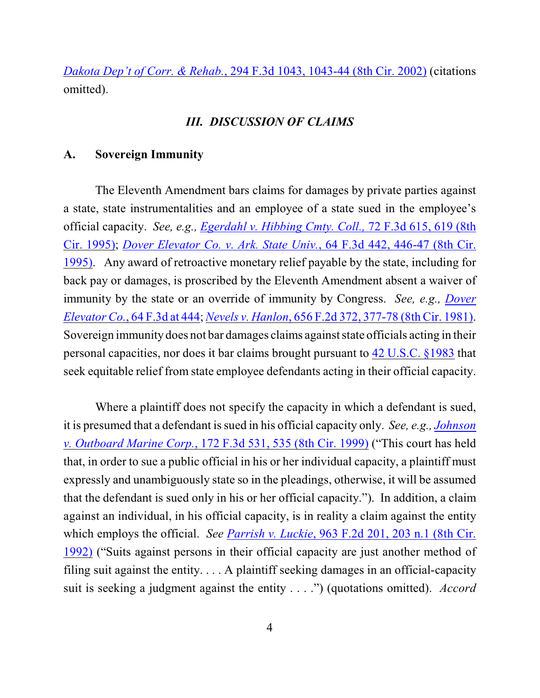*Dakota Dep't of Corr. & Rehab.*, 294 F.3d 1043, 1043-44 (8th Cir. 2002) (citations omitted).

## *III. DISCUSSION OF CLAIMS*

#### **A. Sovereign Immunity**

The Eleventh Amendment bars claims for damages by private parties against a state, state instrumentalities and an employee of a state sued in the employee's official capacity. *See, e.g., [Egerdahl v. Hibbing Cmty. Coll.,](http://www.westlaw.com/find/default.wl?rs=CLWP3.0&vr=2.0&cite=72+F.3d+615)* 72 F.3d 615, 619 (8th [Cir. 1995\)](http://www.westlaw.com/find/default.wl?rs=CLWP3.0&vr=2.0&cite=72+F.3d+615); *[Dover Elevator Co. v. Ark. State Univ.](http://www.westlaw.com/find/default.wl?rs=CLWP3.0&vr=2.0&cite=64+F.3d+442)*, 64 F.3d 442, 446-47 (8th Cir. [1995\)](http://www.westlaw.com/find/default.wl?rs=CLWP3.0&vr=2.0&cite=64+F.3d+442). Any award of retroactive monetary relief payable by the state, including for back pay or damages, is proscribed by the Eleventh Amendment absent a waiver of immunity by the state or an override of immunity by Congress. *See, e.g., [Dover](http://www.westlaw.com/find/default.wl?rs=CLWP3.0&vr=2.0&cite=64+F.3d+444) Elevator Co.*, [64 F.3d at 444](http://www.westlaw.com/find/default.wl?rs=CLWP3.0&vr=2.0&cite=64+F.3d+444); *Nevels v. Hanlon*[, 656 F.2d 372, 377-78 \(8th Cir. 1981\)](http://www.westlaw.com/find/default.wl?rs=CLWP3.0&vr=2.0&cite=656+F.2d+372). Sovereign immunity does not bar damages claims against state officials acting in their personal capacities, nor does it bar claims brought pursuant to [42 U.S.C. §1983](http://www.westlaw.com/find/default.wl?rs=CLWP3.0&vr=2.0&cite=42+USCA+s1983) that seek equitable relief from state employee defendants acting in their official capacity.

Where a plaintiff does not specify the capacity in which a defendant is sued, it is presumed that a defendant is sued in his official capacity only. *See, e.g., [Johnson](http://www.westlaw.com/find/default.wl?rs=CLWP3.0&vr=2.0&cite=172+F.3d+531) v. [Outboard Marine Corp.](http://www.westlaw.com/find/default.wl?rs=CLWP3.0&vr=2.0&cite=172+F.3d+531)*, 172 F.3d 531, 535 (8th Cir. 1999) ("This court has held that, in order to sue a public official in his or her individual capacity, a plaintiff must expressly and unambiguously state so in the pleadings, otherwise, it will be assumed that the defendant is sued only in his or her official capacity."). In addition, a claim against an individual, in his official capacity, is in reality a claim against the entity which employs the official. *See [Parrish v. Luckie](http://www.westlaw.com/find/default.wl?rs=CLWP3.0&vr=2.0&cite=963+F.2d+201)*, 963 F.2d 201, 203 n.1 (8th Cir. [1992\)](http://www.westlaw.com/find/default.wl?rs=CLWP3.0&vr=2.0&cite=963+F.2d+201) ("Suits against persons in their official capacity are just another method of filing suit against the entity.  $\ldots$  A plaintiff seeking damages in an official-capacity suit is seeking a judgment against the entity . . . .") (quotations omitted). *Accord*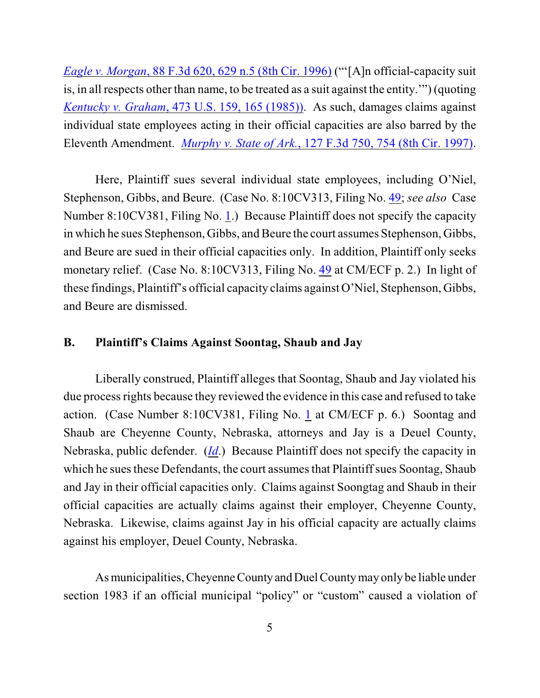*[Eagle v. Morgan](http://www.westlaw.com/find/default.wl?rs=CLWP3.0&vr=2.0&cite=88+F.3d+620)*, 88 F.3d 620, 629 n.5 (8th Cir. 1996) ("'[A]n official-capacity suit is, in all respects other than name, to be treated as a suit against the entity.'") (quoting *Kentucky v. Graham*[, 473 U.S. 159, 165 \(1985\)\)](http://web2.westlaw.com/find/default.wl?tf=-1&rs=WLW8.05&referencepositiontype=S&serialnum=1985133039&fn=_top&findtype=Y&tc=-1&referenceposition=3105&db=708&vr=2.0&rp=%2ffind%2fdefault.wl&RLT=CLID_FQRLT6212136&TF=756&TC=1&n=1). As such, damages claims against individual state employees acting in their official capacities are also barred by the Eleventh Amendment. *Murphy v. State of Ark.*[, 127 F.3d 750, 754 \(8th Cir. 1997\)](http://www.westlaw.com/find/default.wl?rs=CLWP3.0&vr=2.0&cite=127+F.3d+750).

Here, Plaintiff sues several individual state employees, including O'Niel, Stephenson, Gibbs, and Beure. (Case No. 8:10CV313, Filing No. [49](https://ecf.ned.uscourts.gov/doc1/11312196138); *see also* Case Number 8:10CV381, Filing No. [1](https://ecf.ned.uscourts.gov/doc1/11312119395).) Because Plaintiff does not specify the capacity in which he sues Stephenson, Gibbs, and Beure the court assumes Stephenson, Gibbs, and Beure are sued in their official capacities only. In addition, Plaintiff only seeks monetary relief. (Case No. 8:10CV313, Filing No. [49](https://ecf.ned.uscourts.gov/doc1/11312196138) at CM/ECF p. 2.) In light of these findings, Plaintiff's official capacity claims against O'Niel, Stephenson, Gibbs, and Beure are dismissed.

## **B. Plaintiff's Claims Against Soontag, Shaub and Jay**

Liberally construed, Plaintiff alleges that Soontag, Shaub and Jay violated his due process rights because they reviewed the evidence in this case and refused to take action. (Case Number 8:10CV381, Filing No. [1](https://ecf.ned.uscourts.gov/doc1/11312119395) at CM/ECF p. 6.) Soontag and Shaub are Cheyenne County, Nebraska, attorneys and Jay is a Deuel County, Nebraska, public defender. (*[Id](https://ecf.ned.uscourts.gov/doc1/11312196138)*.) Because Plaintiff does not specify the capacity in which he sues these Defendants, the court assumes that Plaintiff sues Soontag, Shaub and Jay in their official capacities only. Claims against Soongtag and Shaub in their official capacities are actually claims against their employer, Cheyenne County, Nebraska. Likewise, claims against Jay in his official capacity are actually claims against his employer, Deuel County, Nebraska.

As municipalities, Cheyenne County and Duel County may only be liable under section 1983 if an official municipal "policy" or "custom" caused a violation of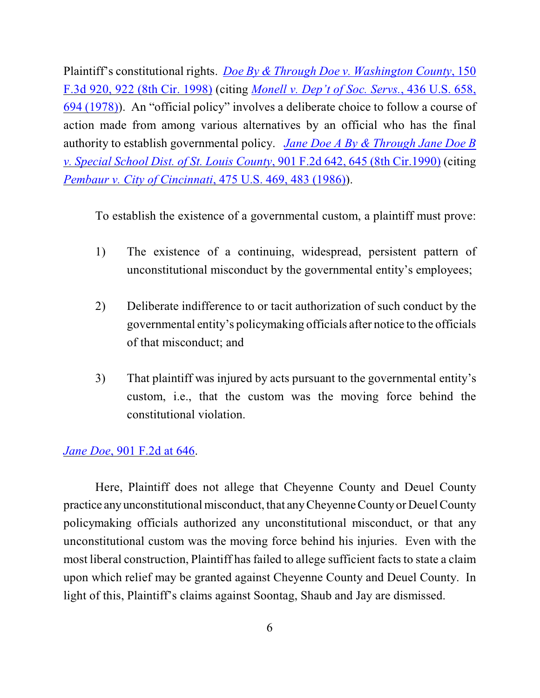Plaintiff's constitutional rights. *Doe By & [Through Doe v. Washington County](http://www.westlaw.com/find/default.wl?rs=CLWP3.0&vr=2.0&cite=150+F.3d+920)*, 150 [F.3d 920, 922 \(8th Cir. 1998\)](http://www.westlaw.com/find/default.wl?rs=CLWP3.0&vr=2.0&cite=150+F.3d+920) (citing *[Monell v. Dep't of Soc. Servs.](http://web2.westlaw.com/find/default.wl?rs=WLW8.05&serialnum=1978114250&fn=_top&sv=Split&tc=-1&findtype=Y&tf=-1&db=708&vr=2.0&rp=%2ffind%2fdefault.wl&mt=FederalGovernment&RLT=CLID_FQRLT21411036&TF=756&TC=1&n=1)*, 436 U.S. 658, [694 \(1978\)](http://web2.westlaw.com/find/default.wl?rs=WLW8.05&serialnum=1978114250&fn=_top&sv=Split&tc=-1&findtype=Y&tf=-1&db=708&vr=2.0&rp=%2ffind%2fdefault.wl&mt=FederalGovernment&RLT=CLID_FQRLT21411036&TF=756&TC=1&n=1)). An "official policy" involves a deliberate choice to follow a course of action made from among various alternatives by an official who has the final authority to establish governmental policy. *Jane Doe A By & [Through Jane Doe B](http://www.westlaw.com/find/default.wl?rs=CLWP3.0&vr=2.0&cite=901+F.2d+642) [v. Special School Dist. of St. Louis County](http://www.westlaw.com/find/default.wl?rs=CLWP3.0&vr=2.0&cite=901+F.2d+642)*, 901 F.2d 642, 645 (8th Cir.1990) (citing *[Pembaur v. City of Cincinnati](http://web2.westlaw.com/find/default.wl?tf=-1&rs=WLW8.05&referencepositiontype=S&serialnum=1986115423&fn=_top&findtype=Y&tc=-1&referenceposition=1300&db=708&vr=2.0&rp=%2ffind%2fdefault.wl&RLT=CLID_FQRLT7441036&TF=756&TC=1&n=1)*, 475 U.S. 469, 483 (1986)).

To establish the existence of a governmental custom, a plaintiff must prove:

- 1) The existence of a continuing, widespread, persistent pattern of unconstitutional misconduct by the governmental entity's employees;
- 2) Deliberate indifference to or tacit authorization of such conduct by the governmental entity's policymaking officials after notice to the officials of that misconduct; and
- 3) That plaintiff was injured by acts pursuant to the governmental entity's custom, i.e., that the custom was the moving force behind the constitutional violation.

# *Jane Doe*[, 901 F.2d at 646](http://www.westlaw.com/find/default.wl?rs=CLWP3.0&vr=2.0&cite=901+F.2d+646).

Here, Plaintiff does not allege that Cheyenne County and Deuel County practice any unconstitutional misconduct, that any Cheyenne County or Deuel County policymaking officials authorized any unconstitutional misconduct, or that any unconstitutional custom was the moving force behind his injuries. Even with the most liberal construction, Plaintiff has failed to allege sufficient facts to state a claim upon which relief may be granted against Cheyenne County and Deuel County. In light of this, Plaintiff's claims against Soontag, Shaub and Jay are dismissed.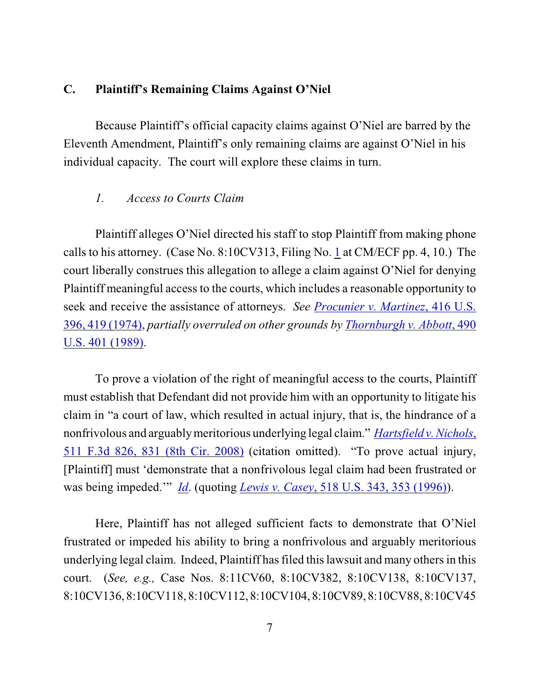# **C. Plaintiff's Remaining Claims Against O'Niel**

Because Plaintiff's official capacity claims against O'Niel are barred by the Eleventh Amendment, Plaintiff's only remaining claims are against O'Niel in his individual capacity. The court will explore these claims in turn.

#### *1. Access to Courts Claim*

Plaintiff alleges O'Niel directed his staff to stop Plaintiff from making phone calls to his attorney. (Case No. 8:10CV313, Filing No. [1](https://ecf.ned.uscourts.gov/doc1/11312088126) at CM/ECF pp. 4, 10.) The court liberally construes this allegation to allege a claim against O'Niel for denying Plaintiff meaningful access to the courts, which includes a reasonable opportunity to seek and receive the assistance of attorneys. *See [Procunier v. Martinez](http://web2.westlaw.com/find/default.wl?ifm=NotSet&rp=%2ffind%2fdefault.wl&sv=Split&rs=WLW10.08&cite=416+U.S.419&fn=_top&mt=Westlaw&vr=2.0)*, 416 U.S. [396, 419 \(1974\)](http://web2.westlaw.com/find/default.wl?ifm=NotSet&rp=%2ffind%2fdefault.wl&sv=Split&rs=WLW10.08&cite=416+U.S.419&fn=_top&mt=Westlaw&vr=2.0), *partially overruled on other grounds by [Thornburgh v. Abbott](http://web2.westlaw.com/find/default.wl?ifm=NotSet&rp=%2ffind%2fdefault.wl&sv=Split&rs=WLW10.08&cite=490+U.S.+401&fn=_top&mt=Westlaw&vr=2.0)*, 490 [U.S. 401 \(1989\)](http://web2.westlaw.com/find/default.wl?ifm=NotSet&rp=%2ffind%2fdefault.wl&sv=Split&rs=WLW10.08&cite=490+U.S.+401&fn=_top&mt=Westlaw&vr=2.0).

To prove a violation of the right of meaningful access to the courts, Plaintiff must establish that Defendant did not provide him with an opportunity to litigate his claim in "a court of law, which resulted in actual injury, that is, the hindrance of a nonfrivolous and arguably meritorious underlying legal claim." *[Hartsfield v. Nichols](http://web2.westlaw.com/find/default.wl?tf=-1&rs=WLW9.11&referencepositiontype=S&serialnum=2014624723&fn=_top&sv=Split&referenceposition=831&pbc=F507427B&tc=-1&ordoc=2019669306&findtype=Y&db=506&vr=2.0&rp=%2ffind%2fdefault.wl&mt=26&RLT=CLID_FQRLT52288534)*, [511 F.3d 826, 831 \(8th Cir. 2008\)](http://web2.westlaw.com/find/default.wl?tf=-1&rs=WLW9.11&referencepositiontype=S&serialnum=2014624723&fn=_top&sv=Split&referenceposition=831&pbc=F507427B&tc=-1&ordoc=2019669306&findtype=Y&db=506&vr=2.0&rp=%2ffind%2fdefault.wl&mt=26&RLT=CLID_FQRLT52288534) (citation omitted). "To prove actual injury, [Plaintiff] must 'demonstrate that a nonfrivolous legal claim had been frustrated or was being impeded.'" *[Id](http://web2.westlaw.com/find/default.wl?tf=-1&rs=WLW9.11&referencepositiontype=S&serialnum=2014624723&fn=_top&sv=Split&referenceposition=831&pbc=F507427B&tc=-1&ordoc=2019669306&findtype=Y&db=506&vr=2.0&rp=%2ffind%2fdefault.wl&mt=26&RLT=CLID_FQRLT52288534)*. (quoting *Lewis v. Casey*[, 518 U.S. 343, 353 \(1996\)](http://web2.westlaw.com/find/default.wl?rs=WLW9.11&ifm=NotSet&fn=_top&sv=Split&pbc=F507427B&cite=518+U.S.+353&vr=2.0&rp=%2ffind%2fdefault.wl&mt=26)).

Here, Plaintiff has not alleged sufficient facts to demonstrate that O'Niel frustrated or impeded his ability to bring a nonfrivolous and arguably meritorious underlying legal claim. Indeed, Plaintiff has filed this lawsuit and many others in this court. (*See, e.g.,* Case Nos. 8:11CV60, 8:10CV382, 8:10CV138, 8:10CV137, 8:10CV136, 8:10CV118, 8:10CV112, 8:10CV104, 8:10CV89, 8:10CV88, 8:10CV45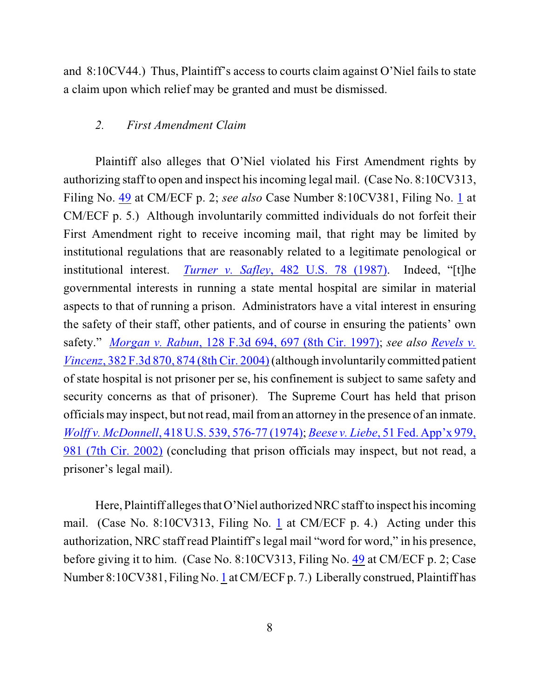and 8:10CV44.) Thus, Plaintiff's access to courts claim against O'Niel fails to state a claim upon which relief may be granted and must be dismissed.

### *2. First Amendment Claim*

Plaintiff also alleges that O'Niel violated his First Amendment rights by authorizing staff to open and inspect his incoming legal mail. (Case No. 8:10CV313, Filing No. [49](https://ecf.ned.uscourts.gov/doc1/11312196138) at CM/ECF p. 2; *see also* Case Number 8:10CV381, Filing No. [1](https://ecf.ned.uscourts.gov/doc1/11312119395) at CM/ECF p. 5.) Although involuntarily committed individuals do not forfeit their First Amendment right to receive incoming mail, that right may be limited by institutional regulations that are reasonably related to a legitimate penological or institutional interest. *Turner v. Safley*[, 482 U.S. 78 \(1987\)](http://web2.westlaw.com/find/default.wl?ifm=NotSet&rp=%2ffind%2fdefault.wl&sv=Split&rs=WLW10.08&cite=482+U.S.+78+&fn=_top&mt=Westlaw&vr=2.0). Indeed, "[t]he governmental interests in running a state mental hospital are similar in material aspects to that of running a prison. Administrators have a vital interest in ensuring the safety of their staff, other patients, and of course in ensuring the patients' own safety." *Morgan v. Rabun*[, 128 F.3d 694, 697 \(8th Cir. 1997\)](http://web2.westlaw.com/find/default.wl?rs=WLW10.03&ifm=NotSet&fn=_top&sv=Split&cite=128+F.3d+694&vr=2.0&rp=%2ffind%2fdefault.wl&mt=26); *see also [Revels v.](http://web2.westlaw.com/find/default.wl?ifm=NotSet&rp=%2ffind%2fdefault.wl&sv=Split&rs=WLW10.08&cite=382+F.3d+874&fn=_top&mt=Westlaw&vr=2.0) Vincenz*, 382 F.3d 870, [874 \(8th Cir. 2004\)](http://web2.westlaw.com/find/default.wl?ifm=NotSet&rp=%2ffind%2fdefault.wl&sv=Split&rs=WLW10.08&cite=382+F.3d+874&fn=_top&mt=Westlaw&vr=2.0)(although involuntarily committed patient of state hospital is not prisoner per se, his confinement is subject to same safety and security concerns as that of prisoner). The Supreme Court has held that prison officials may inspect, but not read, mail from an attorney in the presence of an inmate. *Wolff v. McDonnell*[, 418 U.S. 539, 576-77 \(1974\)](http://web2.westlaw.com/find/default.wl?ifm=NotSet&rp=%2ffind%2fdefault.wl&sv=Split&rs=WLW10.08&cite=418+U.S.+576&fn=_top&mt=Westlaw&vr=2.0); *Beese v. Liebe*[, 51 Fed. App'x 979,](http://web2.westlaw.com/find/default.wl?fn=_top&rs=WLW11.01&rp=%2ffind%2fdefault.wl&mt=Westlaw&vr=2.0&sv=Split&cite=51+Fed.+App) [981 \(7th Cir. 2002\)](http://web2.westlaw.com/find/default.wl?fn=_top&rs=WLW11.01&rp=%2ffind%2fdefault.wl&mt=Westlaw&vr=2.0&sv=Split&cite=51+Fed.+App) (concluding that prison officials may inspect, but not read, a prisoner's legal mail).

Here, Plaintiff alleges that O'Niel authorized NRC staff to inspect his incoming mail. (Case No. 8:10CV313, Filing No. [1](https://ecf.ned.uscourts.gov/doc1/11312088126) at CM/ECF p. 4.) Acting under this authorization, NRC staff read Plaintiff's legal mail "word for word," in his presence, before giving it to him. (Case No. 8:10CV313, Filing No. [49](https://ecf.ned.uscourts.gov/doc1/11312196138) at CM/ECF p. 2; Case Number 8:10CV381, Filing No. [1](https://ecf.ned.uscourts.gov/doc1/11312119395) at CM/ECF p. 7.) Liberally construed, Plaintiff has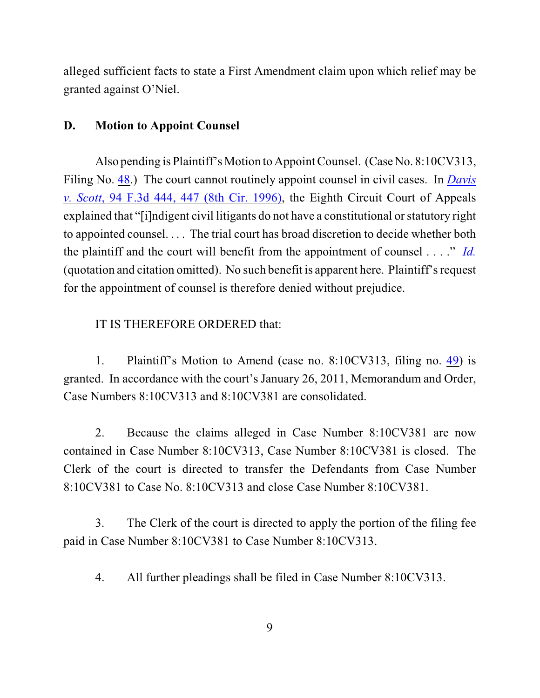alleged sufficient facts to state a First Amendment claim upon which relief may be granted against O'Niel.

## **D. Motion to Appoint Counsel**

Also pending is Plaintiff's Motion to Appoint Counsel. (Case No. 8:10CV313, Filing No. [48](https://ecf.ned.uscourts.gov/doc1/11312196117).) The court cannot routinely appoint counsel in civil cases. In *[Davis](http://www.westlaw.com/find/default.wl?rs=CLWP3.0&vr=2.0&cite=94+F.3d+444) v. Scott*[, 94 F.3d 444, 447 \(8th Cir. 1996\)](http://www.westlaw.com/find/default.wl?rs=CLWP3.0&vr=2.0&cite=94+F.3d+444), the Eighth Circuit Court of Appeals explained that "[i]ndigent civil litigants do not have a constitutional or statutory right to appointed counsel. . . . The trial court has broad discretion to decide whether both the plaintiff and the court will benefit from the appointment of counsel . . . ." *[Id.](http://www.westlaw.com/find/default.wl?rs=CLWP3.0&vr=2.0&cite=94+F.3d+444)* (quotation and citation omitted). No such benefit is apparent here. Plaintiff's request for the appointment of counsel is therefore denied without prejudice.

### IT IS THEREFORE ORDERED that:

1. Plaintiff's Motion to Amend (case no. 8:10CV313, filing no. [49](https://ecf.ned.uscourts.gov/doc1/11312196138)) is granted. In accordance with the court's January 26, 2011, Memorandum and Order, Case Numbers 8:10CV313 and 8:10CV381 are consolidated.

2. Because the claims alleged in Case Number 8:10CV381 are now contained in Case Number 8:10CV313, Case Number 8:10CV381 is closed. The Clerk of the court is directed to transfer the Defendants from Case Number 8:10CV381 to Case No. 8:10CV313 and close Case Number 8:10CV381.

3. The Clerk of the court is directed to apply the portion of the filing fee paid in Case Number 8:10CV381 to Case Number 8:10CV313.

4. All further pleadings shall be filed in Case Number 8:10CV313.